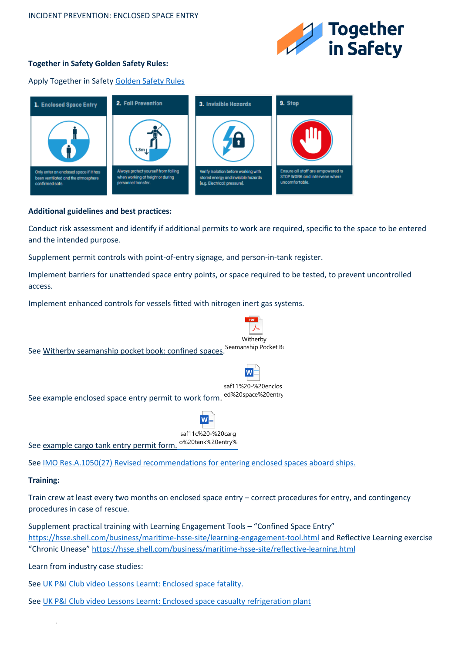

## **Together in Safety Golden Safety Rules:**

Apply Together in Safet[y Golden Safety Rules](https://togetherinsafety.info/wp-content/uploads/2020/07/Golden-Safety-Rules.pdf)



## **Additional guidelines and best practices:**

Conduct risk assessment and identify if additional permits to work are required, specific to the space to be entered and the intended purpose.

Supplement permit controls with point-of-entry signage, and person-in-tank register.

Implement barriers for unattended space entry points, or space required to be tested, to prevent uncontrolled access.

Implement enhanced controls for vessels fitted with nitrogen inert gas systems.



See [IMO Res.A.1050\(27\) Revised recommendations for entering enclosed spaces aboard ships.](https://wwwcdn.imo.org/localresources/en/KnowledgeCentre/IndexofIMOResolutions/Documents/A%20-%20Assembly/1050(27).pdf)

## **Training:**

Train crew at least every two months on enclosed space entry – correct procedures for entry, and contingency procedures in case of rescue.

Supplement practical training with Learning Engagement Tools – "Confined Space Entry" <https://hsse.shell.com/business/maritime-hsse-site/learning-engagement-tool.html> and Reflective Learning exercise "Chronic Unease" <https://hsse.shell.com/business/maritime-hsse-site/reflective-learning.html>

Learn from industry case studies:

.

See [UK P&I Club video Lessons Learnt: Enclosed space fatality.](https://www.ukpandi.com/news-and-resources/videos/lessons-learnt-enclosed-space-fatality/)

See [UK P&I Club video Lessons Learnt: Enclosed space casualty refrigeration plant](https://www.ukpandi.com/news-and-resources/videos/lessons-learnt-refrigeration-plant-hazard/)